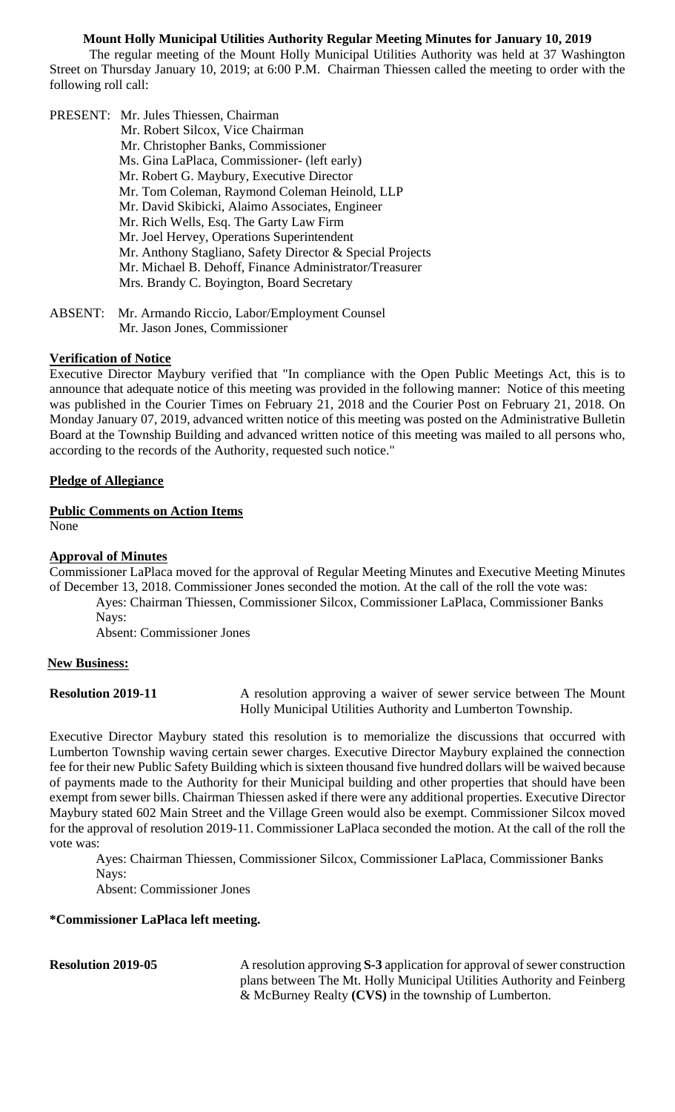#### **Mount Holly Municipal Utilities Authority Regular Meeting Minutes for January 10, 2019**

 The regular meeting of the Mount Holly Municipal Utilities Authority was held at 37 Washington Street on Thursday January 10, 2019; at 6:00 P.M. Chairman Thiessen called the meeting to order with the following roll call:

PRESENT: Mr. Jules Thiessen, Chairman Mr. Robert Silcox, Vice Chairman Mr. Christopher Banks, Commissioner Ms. Gina LaPlaca, Commissioner- (left early) Mr. Robert G. Maybury, Executive Director Mr. Tom Coleman, Raymond Coleman Heinold, LLP Mr. David Skibicki, Alaimo Associates, Engineer Mr. Rich Wells, Esq. The Garty Law Firm Mr. Joel Hervey, Operations Superintendent Mr. Anthony Stagliano, Safety Director & Special Projects Mr. Michael B. Dehoff, Finance Administrator/Treasurer Mrs. Brandy C. Boyington, Board Secretary

ABSENT: Mr. Armando Riccio, Labor/Employment Counsel Mr. Jason Jones, Commissioner

#### **Verification of Notice**

Executive Director Maybury verified that "In compliance with the Open Public Meetings Act, this is to announce that adequate notice of this meeting was provided in the following manner: Notice of this meeting was published in the Courier Times on February 21, 2018 and the Courier Post on February 21, 2018. On Monday January 07, 2019, advanced written notice of this meeting was posted on the Administrative Bulletin Board at the Township Building and advanced written notice of this meeting was mailed to all persons who, according to the records of the Authority, requested such notice."

#### **Pledge of Allegiance**

#### **Public Comments on Action Items**

None

# **Approval of Minutes**

Commissioner LaPlaca moved for the approval of Regular Meeting Minutes and Executive Meeting Minutes of December 13, 2018. Commissioner Jones seconded the motion. At the call of the roll the vote was:

 Ayes: Chairman Thiessen, Commissioner Silcox, Commissioner LaPlaca, Commissioner Banks Nays:

Absent: Commissioner Jones

#### **New Business:**

**Resolution 2019-11** A resolution approving a waiver of sewer service between The Mount Holly Municipal Utilities Authority and Lumberton Township.

Executive Director Maybury stated this resolution is to memorialize the discussions that occurred with Lumberton Township waving certain sewer charges. Executive Director Maybury explained the connection fee for their new Public Safety Building which is sixteen thousand five hundred dollars will be waived because of payments made to the Authority for their Municipal building and other properties that should have been exempt from sewer bills. Chairman Thiessen asked if there were any additional properties. Executive Director Maybury stated 602 Main Street and the Village Green would also be exempt. Commissioner Silcox moved for the approval of resolution 2019-11. Commissioner LaPlaca seconded the motion. At the call of the roll the vote was:

 Ayes: Chairman Thiessen, Commissioner Silcox, Commissioner LaPlaca, Commissioner Banks Nays:

Absent: Commissioner Jones

#### **\*Commissioner LaPlaca left meeting.**

**Resolution 2019-05** A resolution approving **S-3** application for approval of sewer construction plans between The Mt. Holly Municipal Utilities Authority and Feinberg & McBurney Realty **(CVS)** in the township of Lumberton.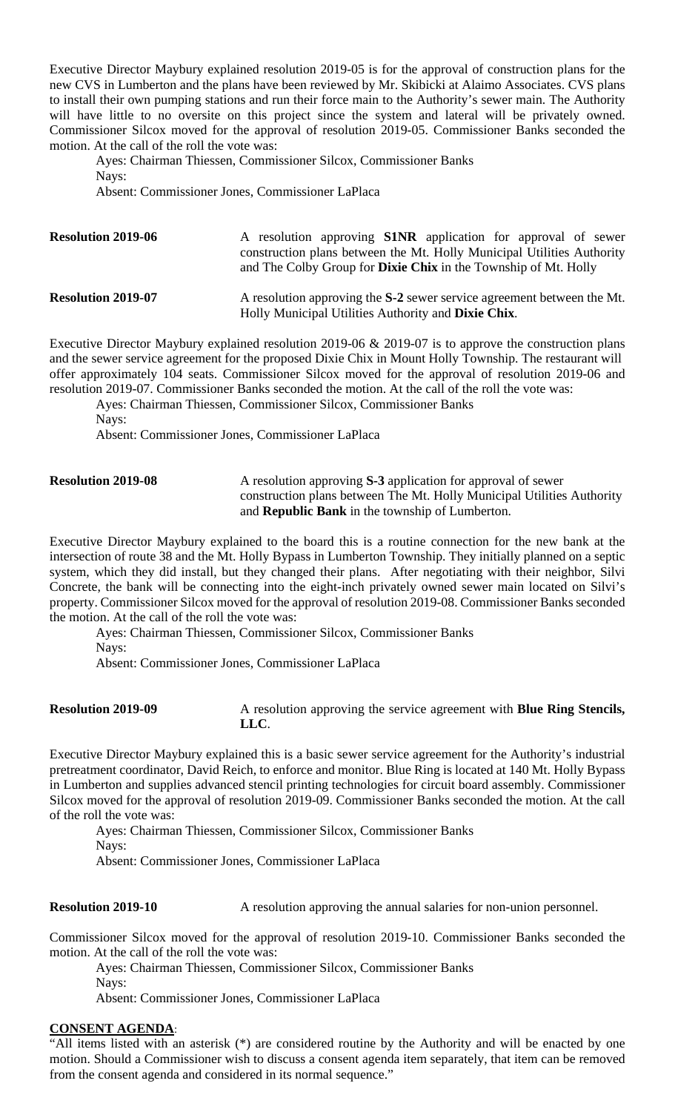Executive Director Maybury explained resolution 2019-05 is for the approval of construction plans for the new CVS in Lumberton and the plans have been reviewed by Mr. Skibicki at Alaimo Associates. CVS plans to install their own pumping stations and run their force main to the Authority's sewer main. The Authority will have little to no oversite on this project since the system and lateral will be privately owned. Commissioner Silcox moved for the approval of resolution 2019-05. Commissioner Banks seconded the motion. At the call of the roll the vote was:

 Ayes: Chairman Thiessen, Commissioner Silcox, Commissioner Banks Nays: Absent: Commissioner Jones, Commissioner LaPlaca

**Resolution 2019-06** A resolution approving **S1NR** application for approval of sewer construction plans between the Mt. Holly Municipal Utilities Authority and The Colby Group for **Dixie Chix** in the Township of Mt. Holly **Resolution 2019-07** A resolution approving the S-2 sewer service agreement between the Mt. Holly Municipal Utilities Authority and **Dixie Chix**.

Executive Director Maybury explained resolution 2019-06 & 2019-07 is to approve the construction plans and the sewer service agreement for the proposed Dixie Chix in Mount Holly Township. The restaurant will offer approximately 104 seats. Commissioner Silcox moved for the approval of resolution 2019-06 and resolution 2019-07. Commissioner Banks seconded the motion. At the call of the roll the vote was:

Ayes: Chairman Thiessen, Commissioner Silcox, Commissioner Banks

Nays:

Absent: Commissioner Jones, Commissioner LaPlaca

**Resolution 2019-08** A resolution approving S-3 application for approval of sewer construction plans between The Mt. Holly Municipal Utilities Authority and **Republic Bank** in the township of Lumberton.

Executive Director Maybury explained to the board this is a routine connection for the new bank at the intersection of route 38 and the Mt. Holly Bypass in Lumberton Township. They initially planned on a septic system, which they did install, but they changed their plans. After negotiating with their neighbor, Silvi Concrete, the bank will be connecting into the eight-inch privately owned sewer main located on Silvi's property. Commissioner Silcox moved for the approval of resolution 2019-08. Commissioner Banks seconded the motion. At the call of the roll the vote was:

 Ayes: Chairman Thiessen, Commissioner Silcox, Commissioner Banks Nays:

Absent: Commissioner Jones, Commissioner LaPlaca

**Resolution 2019-09** A resolution approving the service agreement with **Blue Ring Stencils, LLC**.

Executive Director Maybury explained this is a basic sewer service agreement for the Authority's industrial pretreatment coordinator, David Reich, to enforce and monitor. Blue Ring is located at 140 Mt. Holly Bypass in Lumberton and supplies advanced stencil printing technologies for circuit board assembly. Commissioner Silcox moved for the approval of resolution 2019-09. Commissioner Banks seconded the motion. At the call of the roll the vote was:

Ayes: Chairman Thiessen, Commissioner Silcox, Commissioner Banks

Nays:

Absent: Commissioner Jones, Commissioner LaPlaca

**Resolution 2019-10** A resolution approving the annual salaries for non-union personnel.

Commissioner Silcox moved for the approval of resolution 2019-10. Commissioner Banks seconded the motion. At the call of the roll the vote was:

 Ayes: Chairman Thiessen, Commissioner Silcox, Commissioner Banks Nays:

Absent: Commissioner Jones, Commissioner LaPlaca

#### **CONSENT AGENDA**:

"All items listed with an asterisk (\*) are considered routine by the Authority and will be enacted by one motion. Should a Commissioner wish to discuss a consent agenda item separately, that item can be removed from the consent agenda and considered in its normal sequence."